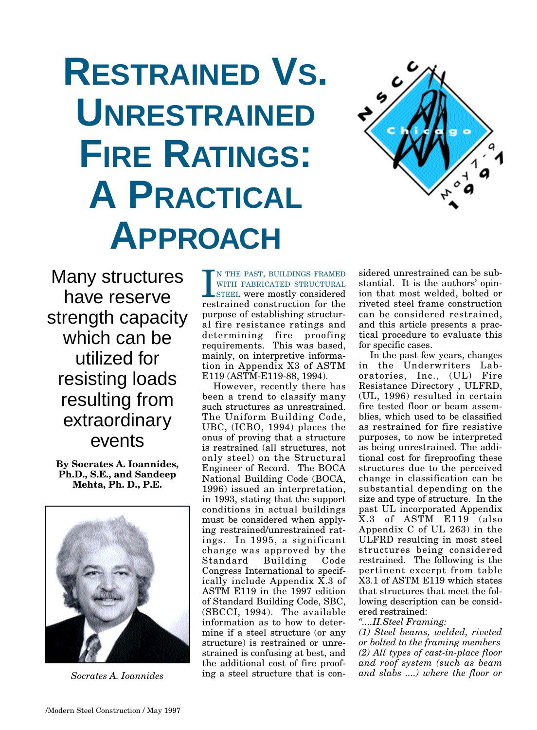# **RESTRAINED VS. UNRESTRAINED FIRE RATINGS: A PRACTICAL APPROACH**



Many structures have reserve strength capacity which can be utilized for resisting loads resulting from extraordinary events

**By Socrates A. Ioannides, Ph.D., S.E., and Sandeep Mehta, Ph. D., P.E.**



*Socrates A. Ioannides*

I N THE PAST, BUILDINGS FRAMED WITH FABRICATED STRUCTURAL STEEL were mostly considered restrained construction for the N THE PAST, BUILDINGS FRAMED WITH FABRICATED STRUCTURAL STEEL were mostly considered purpose of establishing structural fire resistance ratings and determining fire proofing requirements. This was based, mainly, on interpretive information in Appendix X3 of ASTM E119 (ASTM-E119-88, 1994).

However, recently there has been a trend to classify many such structures as unrestrained. The Uniform Building Code, UBC, (ICBO, 1994) places the onus of proving that a structure is restrained (all structures, not only steel) on the Structural Engineer of Record. The BOCA National Building Code (BOCA, 1996) issued an interpretation, in 1993, stating that the support conditions in actual buildings must be considered when applying restrained/unrestrained ratings. In 1995, a significant change was approved by the Standard Building Code Congress International to specifically include Appendix X.3 of ASTM E119 in the 1997 edition of Standard Building Code, SBC, (SBCCI, 1994). The available information as to how to determine if a steel structure (or any structure) is restrained or unrestrained is confusing at best, and the additional cost of fire proofing a steel structure that is considered unrestrained can be substantial. It is the authors' opinion that most welded, bolted or riveted steel frame construction can be considered restrained, and this article presents a practical procedure to evaluate this for specific cases.

In the past few years, changes in the Underwriters Laboratories, Inc., (UL) Fire Resistance Directory , ULFRD, (UL, 1996) resulted in certain fire tested floor or beam assemblies, which used to be classified as restrained for fire resistive purposes, to now be interpreted as being unrestrained. The additional cost for fireproofing these structures due to the perceived change in classification can be substantial depending on the size and type of structure. In the past UL incorporated Appendix X.3 of ASTM E119 (also Appendix C of UL 263) in the ULFRD resulting in most steel structures being considered restrained. The following is the pertinent excerpt from table X3.1 of ASTM E119 which states that structures that meet the following description can be considered restrained:

*"....II.Steel Framing:*

*(1) Steel beams, welded, riveted or bolted to the framing members (2) All types of cast-in-place floor and roof system (such as beam and slabs ....) where the floor or*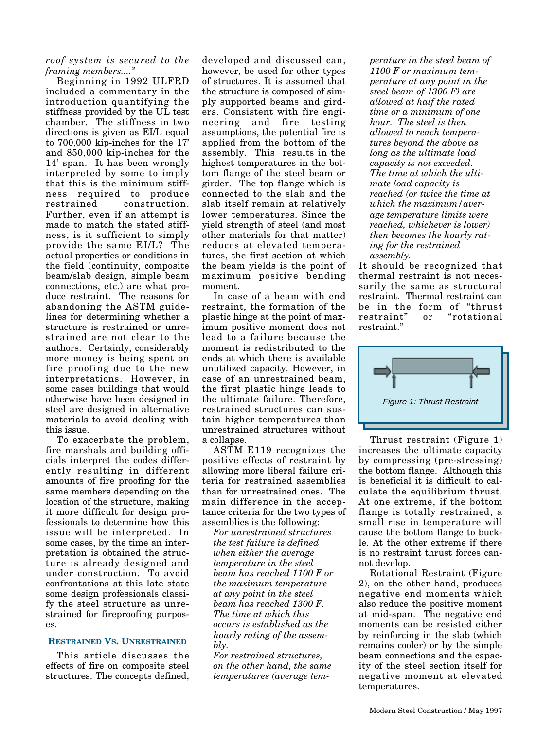*roof system is secured to the framing members...."*

Beginning in 1992 ULFRD included a commentary in the introduction quantifying the stiffness provided by the UL test chamber. The stiffness in two directions is given as EI/L equal to 700,000 kip-inches for the 17' and 850,000 kip-inches for the 14' span. It has been wrongly interpreted by some to imply that this is the minimum stiffness required to produce restrained construction. Further, even if an attempt is made to match the stated stiffness, is it sufficient to simply provide the same EI/L? The actual properties or conditions in the field (continuity, composite beam/slab design, simple beam connections, etc.) are what produce restraint. The reasons for abandoning the ASTM guidelines for determining whether a structure is restrained or unrestrained are not clear to the authors. Certainly, considerably more money is being spent on fire proofing due to the new interpretations. However, in some cases buildings that would otherwise have been designed in steel are designed in alternative materials to avoid dealing with this issue.

To exacerbate the problem, fire marshals and building officials interpret the codes differently resulting in different amounts of fire proofing for the same members depending on the location of the structure, making it more difficult for design professionals to determine how this issue will be interpreted. In some cases, by the time an interpretation is obtained the structure is already designed and under construction. To avoid confrontations at this late state some design professionals classify the steel structure as unrestrained for fireproofing purposes.

## **RESTRAINED VS. UNRESTRAINED**

This article discusses the effects of fire on composite steel structures. The concepts defined, developed and discussed can, however, be used for other types of structures. It is assumed that the structure is composed of simply supported beams and girders. Consistent with fire engineering and fire testing assumptions, the potential fire is applied from the bottom of the assembly. This results in the highest temperatures in the bottom flange of the steel beam or girder. The top flange which is connected to the slab and the slab itself remain at relatively lower temperatures. Since the yield strength of steel (and most other materials for that matter) reduces at elevated temperatures, the first section at which the beam yields is the point of maximum positive bending moment.

In case of a beam with end restraint, the formation of the plastic hinge at the point of maximum positive moment does not lead to a failure because the moment is redistributed to the ends at which there is available unutilized capacity. However, in case of an unrestrained beam, the first plastic hinge leads to the ultimate failure. Therefore, restrained structures can sustain higher temperatures than unrestrained structures without a collapse.

ASTM E119 recognizes the positive effects of restraint by allowing more liberal failure criteria for restrained assemblies than for unrestrained ones. The main difference in the acceptance criteria for the two types of assemblies is the following:

*For unrestrained structures the test failure is defined when either the average temperature in the steel beam has reached 1100 F or the maximum temperature at any point in the steel beam has reached 1300 F. The time at which this occurs is established as the hourly rating of the assembly.*

*For restrained structures, on the other hand, the same temperatures (average tem-* *perature in the steel beam of 1100 F or maximum temperature at any point in the steel beam of 1300 F) are allowed at half the rated time or a minimum of one hour. The steel is then allowed to reach temperatures beyond the above as long as the ultimate load capacity is not exceeded. The time at which the ultimate load capacity is reached (or twice the time at which the maximum/average temperature limits were reached, whichever is lower) then becomes the hourly rating for the restrained assembly.*

It should be recognized that thermal restraint is not necessarily the same as structural restraint. Thermal restraint can be in the form of "thrust restraint" or "rotational restraint."



Thrust restraint (Figure 1) increases the ultimate capacity by compressing (pre-stressing) the bottom flange. Although this is beneficial it is difficult to calculate the equilibrium thrust. At one extreme, if the bottom flange is totally restrained, a small rise in temperature will cause the bottom flange to buckle. At the other extreme if there is no restraint thrust forces cannot develop.

Rotational Restraint (Figure 2), on the other hand, produces negative end moments which also reduce the positive moment at mid-span. The negative end moments can be resisted either by reinforcing in the slab (which remains cooler) or by the simple beam connections and the capacity of the steel section itself for negative moment at elevated temperatures.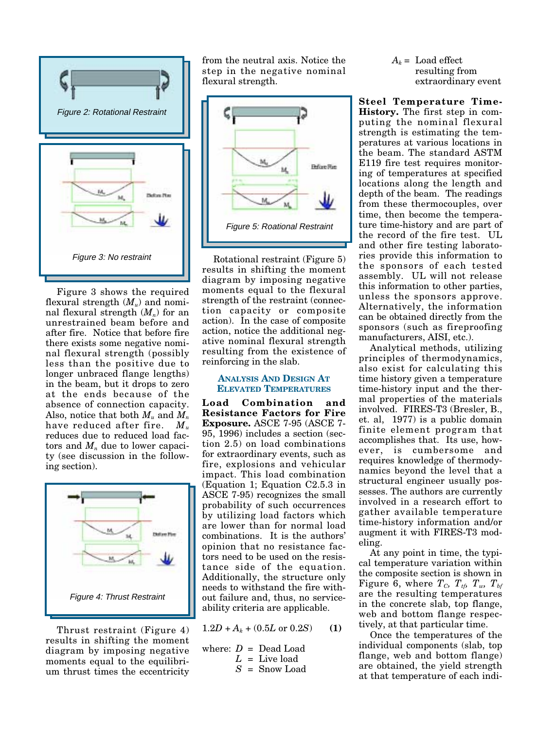

Figure 3 shows the required flexural strength (*Mu*) and nominal flexural strength  $(M_n)$  for an unrestrained beam before and after fire. Notice that before fire there exists some negative nominal flexural strength (possibly less than the positive due to longer unbraced flange lengths) in the beam, but it drops to zero at the ends because of the absence of connection capacity. Also, notice that both *Mu* and *Mn* have reduced after fire. *Mu* reduces due to reduced load factors and  $M_n$  due to lower capacity (see discussion in the following section).



Thrust restraint (Figure 4) results in shifting the moment diagram by imposing negative moments equal to the equilibrium thrust times the eccentricity

from the neutral axis. Notice the step in the negative nominal flexural strength.



Rotational restraint (Figure 5) results in shifting the moment diagram by imposing negative moments equal to the flexural strength of the restraint (connection capacity or composite action). In the case of composite action, notice the additional negative nominal flexural strength resulting from the existence of reinforcing in the slab.

## **ANALYSIS AND DESIGN AT ELEVATED TEMPERATURES**

**Load Combination and Resistance Factors for Fire Exposure.** ASCE 7-95 (ASCE 7- 95, 1996) includes a section (section 2.5) on load combinations for extraordinary events, such as fire, explosions and vehicular impact. This load combination (Equation 1; Equation C2.5.3 in ASCE 7-95) recognizes the small probability of such occurrences by utilizing load factors which are lower than for normal load combinations. It is the authors' opinion that no resistance factors need to be used on the resistance side of the equation. Additionally, the structure only needs to withstand the fire without failure and, thus, no serviceability criteria are applicable.

 $1.2D + A_k + (0.5L \text{ or } 0.2S)$  (1)

where: 
$$
D = \text{Dead Load}
$$
  
 $L = \text{Live load}$ 

*S* = Snow Load

 $A_k$  = Load effect resulting from extraordinary event

**Steel Temperature Time-History.** The first step in computing the nominal flexural strength is estimating the temperatures at various locations in the beam. The standard ASTM E119 fire test requires monitoring of temperatures at specified locations along the length and depth of the beam. The readings from these thermocouples, over time, then become the temperature time-history and are part of the record of the fire test. UL and other fire testing laboratories provide this information to the sponsors of each tested assembly. UL will not release this information to other parties, unless the sponsors approve. Alternatively, the information can be obtained directly from the sponsors (such as fireproofing manufacturers, AISI, etc.).

Analytical methods, utilizing principles of thermodynamics, also exist for calculating this time history given a temperature time-history input and the thermal properties of the materials involved. FIRES-T3 (Bresler, B., et. al, 1977) is a public domain finite element program that accomplishes that. Its use, however, is cumbersome and requires knowledge of thermodynamics beyond the level that a structural engineer usually possesses. The authors are currently involved in a research effort to gather available temperature time-history information and/or augment it with FIRES-T3 modeling.

At any point in time, the typical temperature variation within the composite section is shown in Figure 6, where  $T_c$ ,  $T_{tf}$ ,  $T_w$ ,  $T_{bf}$ are the resulting temperatures in the concrete slab, top flange, web and bottom flange respectively, at that particular time.

Once the temperatures of the individual components (slab, top flange, web and bottom flange) are obtained, the yield strength at that temperature of each indi-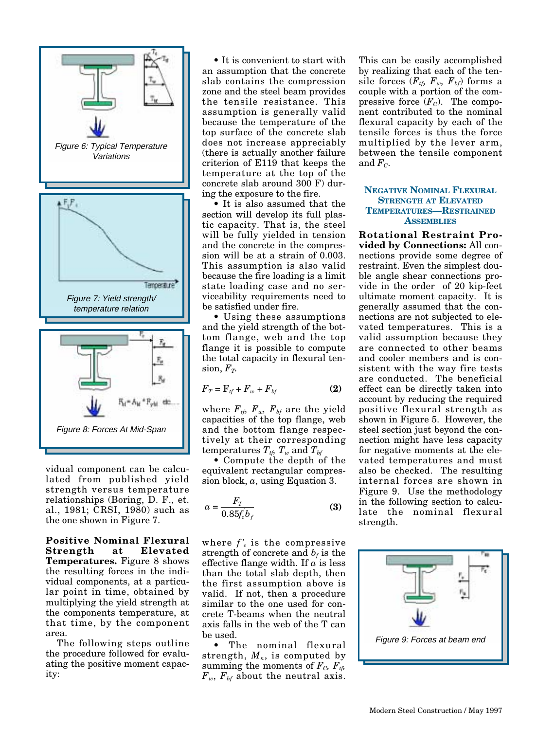

vidual component can be calculated from published yield strength versus temperature relationships (Boring, D. F., et. al., 1981; CRSI, 1980) such as the one shown in Figure 7.

**Positive Nominal Flexural Strength at Elevated Temperatures.** Figure 8 shows the resulting forces in the individual components, at a particular point in time, obtained by multiplying the yield strength at the components temperature, at that time, by the component area.

The following steps outline the procedure followed for evaluating the positive moment capacity:

• It is convenient to start with an assumption that the concrete slab contains the compression zone and the steel beam provides the tensile resistance. This assumption is generally valid because the temperature of the top surface of the concrete slab does not increase appreciably (there is actually another failure criterion of E119 that keeps the temperature at the top of the concrete slab around 300 F) during the exposure to the fire.

• It is also assumed that the section will develop its full plastic capacity. That is, the steel will be fully yielded in tension and the concrete in the compression will be at a strain of 0.003. This assumption is also valid because the fire loading is a limit state loading case and no serviceability requirements need to be satisfied under fire.

• Using these assumptions and the yield strength of the bottom flange, web and the top flange it is possible to compute the total capacity in flexural ten- $\sin F_T$ .

$$
F_T = \mathbf{F}_{tf} + F_w + F_{bf}
$$
 (2)

where  $F_{tf}$ ,  $F_{w}$ ,  $F_{bf}$  are the yield capacities of the top flange, web and the bottom flange respectively at their corresponding temperatures  $T_{\text{th}}$   $T_{\text{w}}$  and  $T_{\text{bt}}$ 

• Compute the depth of the equivalent rectangular compression block, *a*, using Equation 3.

$$
a = \frac{F_T}{0.85f_c'b_f} \tag{3}
$$

where  $f'_{c}$  is the compressive strength of concrete and  $b_f$  is the effective flange width. If *a* is less than the total slab depth, then the first assumption above is valid. If not, then a procedure similar to the one used for concrete T-beams when the neutral axis falls in the web of the T can be used.

• The nominal flexural strength,  $M_n$ , is computed by summing the moments of  $F_c$ ,  $F_{tb}$  $F_w$ ,  $F_{bf}$  about the neutral axis.

This can be easily accomplished by realizing that each of the tensile forces  $(F_{tf}, F_w, F_{bf})$  forms a couple with a portion of the compressive force  $(F_C)$ . The component contributed to the nominal flexural capacity by each of the tensile forces is thus the force multiplied by the lever arm, between the tensile component and  $F<sub>C</sub>$ .

## **NEGATIVE NOMINAL FLEXURAL STRENGTH AT ELEVATED TEMPERATURES—RESTRAINED ASSEMBLIES**

**Rotational Restraint Provided by Connections:** All connections provide some degree of restraint. Even the simplest double angle shear connections provide in the order of 20 kip-feet ultimate moment capacity. It is generally assumed that the connections are not subjected to elevated temperatures. This is a valid assumption because they are connected to other beams and cooler members and is consistent with the way fire tests are conducted. The beneficial effect can be directly taken into account by reducing the required positive flexural strength as shown in Figure 5. However, the steel section just beyond the connection might have less capacity for negative moments at the elevated temperatures and must also be checked. The resulting internal forces are shown in Figure 9. Use the methodology in the following section to calculate the nominal flexural strength.

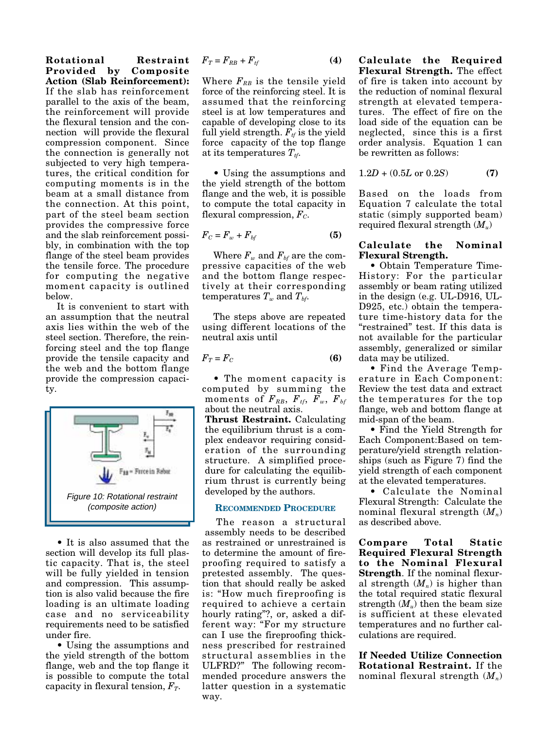**Rotational Restraint Provided by Composite Action (Slab Reinforcement):** If the slab has reinforcement parallel to the axis of the beam, the reinforcement will provide the flexural tension and the connection will provide the flexural compression component. Since the connection is generally not subjected to very high temperatures, the critical condition for computing moments is in the beam at a small distance from the connection. At this point, part of the steel beam section provides the compressive force and the slab reinforcement possibly, in combination with the top flange of the steel beam provides the tensile force. The procedure for computing the negative moment capacity is outlined below.

It is convenient to start with an assumption that the neutral axis lies within the web of the steel section. Therefore, the reinforcing steel and the top flange provide the tensile capacity and the web and the bottom flange provide the compression capacity.



• It is also assumed that the section will develop its full plastic capacity. That is, the steel will be fully yielded in tension and compression. This assumption is also valid because the fire loading is an ultimate loading case and no serviceability requirements need to be satisfied under fire.

• Using the assumptions and the yield strength of the bottom flange, web and the top flange it is possible to compute the total capacity in flexural tension,  $F_T$ .

$$
F_T = F_{RB} + F_{tf} \tag{4}
$$

Where  $F_{RB}$  is the tensile yield force of the reinforcing steel. It is assumed that the reinforcing steel is at low temperatures and capable of developing close to its full yield strength.  $F_{tf}$  is the yield force capacity of the top flange at its temperatures  $T_{tr}$ .

• Using the assumptions and the yield strength of the bottom flange and the web, it is possible to compute the total capacity in flexural compression,  $F_C$ .

$$
F_C = F_w + F_{bf}
$$
 (5)

Where  $F_w$  and  $F_{bf}$  are the compressive capacities of the web and the bottom flange respectively at their corresponding temperatures  $T_w$  and  $T_{bf}$ .

The steps above are repeated using different locations of the neutral axis until

$$
F_T = F_C \tag{6}
$$

• The moment capacity is computed by summing the moments of  $F_{RB}$ ,  $F_{tf}$ ,  $F_w$ ,  $F_{bf}$ about the neutral axis.

**Thrust Restraint.** Calculating the equilibrium thrust is a complex endeavor requiring consideration of the surrounding structure. A simplified procedure for calculating the equilibrium thrust is currently being developed by the authors.

#### **RECOMMENDED PROCEDURE**

The reason a structural assembly needs to be described as restrained or unrestrained is to determine the amount of fireproofing required to satisfy a pretested assembly. The question that should really be asked is: "How much fireproofing is required to achieve a certain hourly rating"?, or, asked a different way: "For my structure can I use the fireproofing thickness prescribed for restrained structural assemblies in the ULFRD?" The following recommended procedure answers the latter question in a systematic way.

**Calculate the Required Flexural Strength.** The effect of fire is taken into account by the reduction of nominal flexural strength at elevated temperatures. The effect of fire on the load side of the equation can be neglected, since this is a first order analysis. Equation 1 can be rewritten as follows:

$$
1.2D + (0.5L \text{ or } 0.2S) \tag{7}
$$

Based on the loads from Equation 7 calculate the total static (simply supported beam) required flexural strength (*Mu*)

## **Calculate the Nominal Flexural Strength.**

• Obtain Temperature Time-History: For the particular assembly or beam rating utilized in the design (e.g. UL-D916, UL-D925, etc.) obtain the temperature time-history data for the "restrained" test. If this data is not available for the particular assembly, generalized or similar data may be utilized.

• Find the Average Temperature in Each Component: Review the test data and extract the temperatures for the top flange, web and bottom flange at mid-span of the beam.

• Find the Yield Strength for Each Component:Based on temperature/yield strength relationships (such as Figure 7) find the yield strength of each component at the elevated temperatures.

• Calculate the Nominal Flexural Strength: Calculate the nominal flexural strength (*Mn*) as described above.

**Compare Total Static Required Flexural Strength to the Nominal Flexural Strength**. If the nominal flexural strength  $(M_n)$  is higher than the total required static flexural strength  $(M_u)$  then the beam size is sufficient at these elevated temperatures and no further calculations are required.

**If Needed Utilize Connection Rotational Restraint.** If the nominal flexural strength (*Mn*)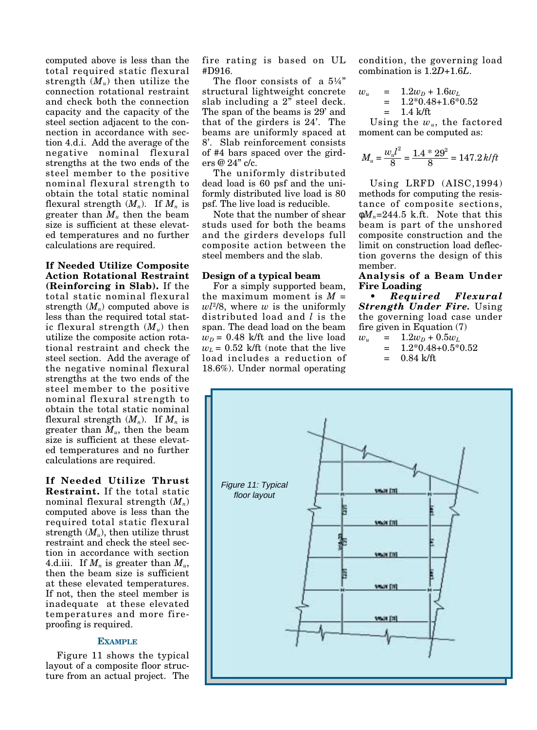computed above is less than the total required static flexural strength  $(M_u)$  then utilize the connection rotational restraint and check both the connection capacity and the capacity of the steel section adjacent to the connection in accordance with section 4.d.i. Add the average of the negative nominal flexural strengths at the two ends of the steel member to the positive nominal flexural strength to obtain the total static nominal flexural strength  $(M_n)$ . If  $M_n$  is greater than  $M_u$  then the beam size is sufficient at these elevated temperatures and no further calculations are required.

**If Needed Utilize Composite Action Rotational Restraint (Reinforcing in Slab).** If the total static nominal flexural strength  $(M_n)$  computed above is less than the required total static flexural strength  $(M_u)$  then utilize the composite action rotational restraint and check the steel section. Add the average of the negative nominal flexural strengths at the two ends of the steel member to the positive nominal flexural strength to obtain the total static nominal flexural strength  $(M_n)$ . If  $M_n$  is greater than *Mu*, then the beam size is sufficient at these elevated temperatures and no further calculations are required.

**If Needed Utilize Thrust Restraint.** If the total static nominal flexural strength (*Mn*) computed above is less than the required total static flexural strength  $(M<sub>u</sub>)$ , then utilize thrust restraint and check the steel section in accordance with section 4.d.iii. If  $M_n$  is greater than  $M_u$ , then the beam size is sufficient at these elevated temperatures. If not, then the steel member is inadequate at these elevated temperatures and more fireproofing is required.

#### **EXAMPLE**

Figure 11 shows the typical layout of a composite floor structure from an actual project. The fire rating is based on UL #D916.

The floor consists of a  $5\frac{1}{4}$ " structural lightweight concrete slab including a 2" steel deck. The span of the beams is 29' and that of the girders is 24'. The beams are uniformly spaced at 8'. Slab reinforcement consists of #4 bars spaced over the girders @ 24" c/c.

The uniformly distributed dead load is 60 psf and the uniformly distributed live load is 80 psf. The live load is reducible.

Note that the number of shear studs used for both the beams and the girders develops full composite action between the steel members and the slab.

#### **Design of a typical beam**

For a simply supported beam, the maximum moment is *M* = *wl*2/8, where *w* is the uniformly distributed load and *l* is the span. The dead load on the beam  $w<sub>D</sub>$  = 0.48 k/ft and the live load  $w_L$  = 0.52 k/ft (note that the live load includes a reduction of 18.6%). Under normal operating condition, the governing load combination is 1.2*D*+1.6*L*.

 $w_u$  = 1.2 $w_p$  + 1.6 $w_L$  $= 1.2*0.48+1.6*0.52$  $= 1.4 \text{ k/ft}$ 

Using the *wu*, the factored moment can be computed as:

$$
M_u = \frac{w_u l^2}{8} = \frac{1.4 * 29^2}{8} = 147.2 \, k \, \text{ft}
$$

Using LRFD (AISC,1994) methods for computing the resistance of composite sections,  $\phi M_n = 244.5$  k.ft. Note that this beam is part of the unshored composite construction and the limit on construction load deflection governs the design of this member.

## **Analysis of a Beam Under Fire Loading**

**•** *Required Flexural Strength Under Fire.* Using the governing load case under fire given in Equation (7)

- $w_u$  = 1.2 $w_p$  + 0.5 $w_l$ 
	- $= 1.2*0.48+0.5*0.52$ 
		- $= 0.84$  k/ft

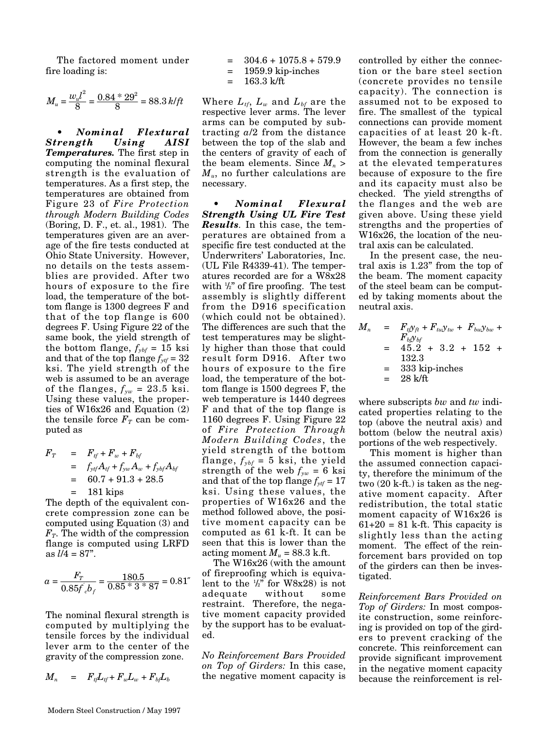The factored moment under fire loading is:

$$
M_u = \frac{w_u l^2}{8} = \frac{0.84 * 29^2}{8} = 88.3 \, k \text{/ft}
$$

**•** *Nominal Flextural Strength Using Temperatures.* The first step in computing the nominal flexural strength is the evaluation of temperatures. As a first step, the temperatures are obtained from Figure 23 of *Fire Protection through Modern Building Codes* (Boring, D. F., et. al., 1981). The temperatures given are an average of the fire tests conducted at Ohio State University. However, no details on the tests assemblies are provided. After two hours of exposure to the fire load, the temperature of the bottom flange is 1300 degrees F and that of the top flange is 600 degrees F. Using Figure 22 of the same book, the yield strength of the bottom flange,  $f_{ybf} = 15$  ksi and that of the top flange  $f_{ytf} = 32$ ksi. The yield strength of the web is assumed to be an average of the flanges,  $f_{yw} = 23.5$  ksi. Using these values, the properties of W16x26 and Equation (2) the tensile force  $F_T$  can be computed as

$$
F_T = F_{tf} + F_w + F_{bf}
$$
  
=  $f_{ytf}A_{tf} + f_{yw}A_w + f_{ybf}A_{bf}$   
= 60.7 + 91.3 + 28.5  
= 181 kips

The depth of the equivalent concrete compression zone can be computed using Equation (3) and  $F_T$ . The width of the compression flange is computed using LRFD as  $l/\bar{4} = 87$ ".

$$
a = \frac{F_T}{0.85f_e b_f} = \frac{180.5}{0.85 * 3 * 87} = 0.81''
$$

The nominal flexural strength is computed by multiplying the tensile forces by the individual lever arm to the center of the gravity of the compression zone.

$$
M_n = F_{t}L_{tf} + F_wL_w + F_{bf}L_b
$$

$$
= 304.6 + 1075.8 + 579.9
$$

- = 1959.9 kip-inches
- $= 163.3$  k/ft

Where  $L_{\textit{tf}},\ L_{\textit{w}}$  and  $L_{\textit{bf}}$  are the respective lever arms. The lever arms can be computed by subtracting *a*/2 from the distance between the top of the slab and the centers of gravity of each of the beam elements. Since  $M_n$ *Mu*, no further calculations are necessary.

*• Nominal Flexural Strength Using UL Fire Test Results.* In this case, the temperatures are obtained from a specific fire test conducted at the Underwriters' Laboratories, Inc. (UL File R4339-41). The temperatures recorded are for a W8x28 with  $\frac{1}{2}$ " of fire proofing. The test assembly is slightly different from the D916 specification (which could not be obtained). The differences are such that the test temperatures may be slightly higher than those that could result form D916. After two hours of exposure to the fire load, the temperature of the bottom flange is 1500 degrees F, the web temperature is 1440 degrees F and that of the top flange is 1160 degrees F. Using Figure 22 of *Fire Protection Through Modern Building Codes*, the yield strength of the bottom flange,  $f_{ybf}$  = 5 ksi, the yield strength of the web  $f_{yw} = 6$  ksi and that of the top flange  $f_{\gamma t f} = 17$ ksi. Using these values, the properties of W16x26 and the method followed above, the positive moment capacity can be computed as 61 k-ft. It can be seen that this is lower than the acting moment  $M_u = 88.3$  k.ft.

The W16x26 (with the amount of fireproofing which is equivalent to the  $\frac{1}{2}$ " for W8x28) is not adequate without some restraint. Therefore, the negative moment capacity provided by the support has to be evaluated.

*No Reinforcement Bars Provided on Top of Girders:* In this case, the negative moment capacity is controlled by either the connection or the bare steel section (concrete provides no tensile capacity). The connection is assumed not to be exposed to fire. The smallest of the typical connections can provide moment capacities of at least 20 k-ft. However, the beam a few inches from the connection is generally at the elevated temperatures because of exposure to the fire and its capacity must also be checked. The yield strengths of the flanges and the web are given above. Using these yield strengths and the properties of W16x26, the location of the neutral axis can be calculated.

In the present case, the neutral axis is 1.23" from the top of the beam. The moment capacity of the steel beam can be computed by taking moments about the neutral axis.

$$
M_n = F_{t} y_{ft} + F_{tu} y_{tw} + F_{bu} y_{bw} + F_{b} y_{bf}
$$
  
= 45.2 + 3.2 + 152 +  
132.3  
= 333 kip-inches  
= 28 k/ft

where subscripts *bw* and *tw* indicated properties relating to the top (above the neutral axis) and bottom (below the neutral axis) portions of the web respectively.

This moment is higher than the assumed connection capacity, therefore the minimum of the two (20 k-ft.) is taken as the negative moment capacity. After redistribution, the total static moment capacity of W16x26 is  $61+20 = 81$  k-ft. This capacity is slightly less than the acting moment. The effect of the reinforcement bars provided on top of the girders can then be investigated.

*Reinforcement Bars Provided on Top of Girders:* In most composite construction, some reinforcing is provided on top of the girders to prevent cracking of the concrete. This reinforcement can provide significant improvement in the negative moment capacity because the reinforcement is rel